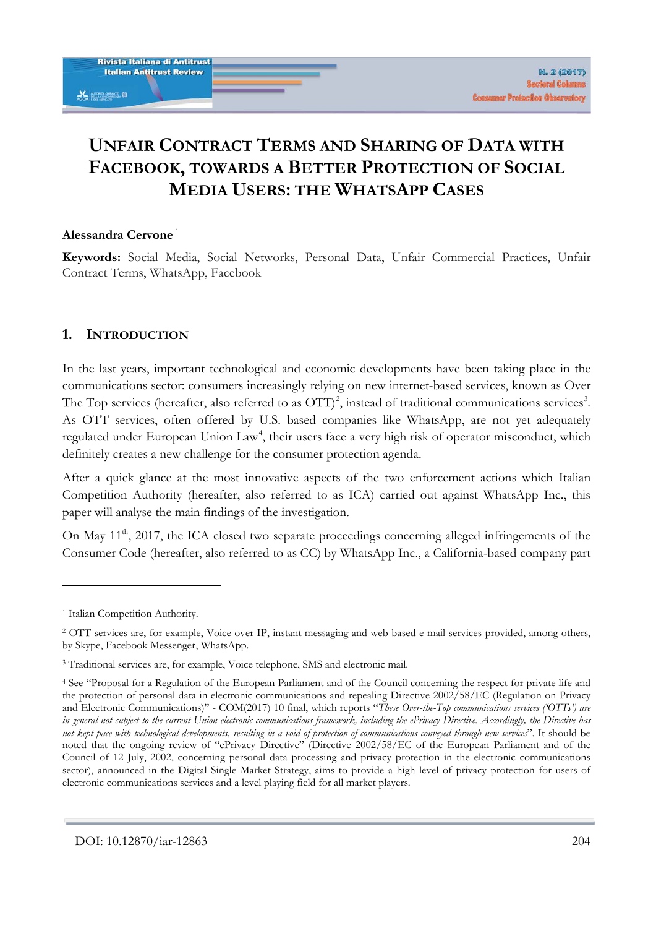# **UNFAIR CONTRACT TERMS AND SHARING OF DATA WITH FACEBOOK, TOWARDS A BETTER PROTECTION OF SOCIAL MEDIA USERS: THE WHATSAPP CASES**

#### **Alessandra Cervone** [1](#page-0-0)

**Keywords:** Social Media, Social Networks, Personal Data, Unfair Commercial Practices, Unfair Contract Terms, WhatsApp, Facebook

## **1. INTRODUCTION**

In the last years, important technological and economic developments have been taking place in the communications sector: consumers increasingly relying on new internet-based services, known as Over The Top services (hereafter, also referred to as  $\text{OTT}$ )<sup>[2](#page-0-1)</sup>, instead of traditional communications services<sup>[3](#page-0-2)</sup>. As OTT services, often offered by U.S. based companies like WhatsApp, are not yet adequately regulated under European Union Law<sup>[4](#page-0-3)</sup>, their users face a very high risk of operator misconduct, which definitely creates a new challenge for the consumer protection agenda.

After a quick glance at the most innovative aspects of the two enforcement actions which Italian Competition Authority (hereafter, also referred to as ICA) carried out against WhatsApp Inc., this paper will analyse the main findings of the investigation.

On May 11<sup>th</sup>, 2017, the ICA closed two separate proceedings concerning alleged infringements of the Consumer Code (hereafter, also referred to as CC) by WhatsApp Inc., a California-based company part

<span id="page-0-0"></span><sup>&</sup>lt;sup>1</sup> Italian Competition Authority.

<span id="page-0-1"></span><sup>2</sup> OTT services are, for example, Voice over IP, instant messaging and web-based e-mail services provided, among others, by Skype, Facebook Messenger, WhatsApp.

<span id="page-0-2"></span><sup>&</sup>lt;sup>3</sup> Traditional services are, for example, Voice telephone, SMS and electronic mail.

<span id="page-0-3"></span><sup>4</sup> See "Proposal for a Regulation of the European Parliament and of the Council concerning the respect for private life and the protection of personal data in electronic communications and repealing Directive 2002/58/EC (Regulation on Privacy and Electronic Communications)" - COM(2017) 10 final, which reports "*These Over-the-Top communications services ('OTTs') are in general not subject to the current Union electronic communications framework, including the ePrivacy Directive. Accordingly, the Directive has not kept pace with technological developments, resulting in a void of protection of communications conveyed through new services*". It should be noted that the ongoing review of "ePrivacy Directive" (Directive 2002/58/EC of the European Parliament and of the Council of 12 July, 2002, concerning personal data processing and privacy protection in the electronic communications sector), announced in the Digital Single Market Strategy, aims to provide a high level of privacy protection for users of electronic communications services and a level playing field for all market players.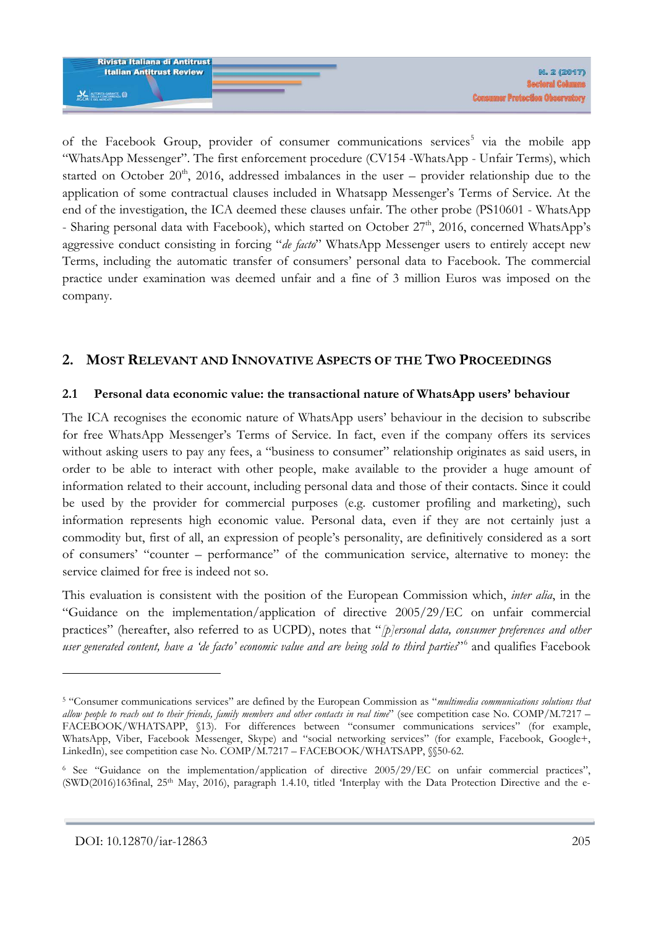

of the Facebook Group, provider of consumer communications services<sup>[5](#page-1-0)</sup> via the mobile app "WhatsApp Messenger". The first enforcement procedure (CV154 -WhatsApp - Unfair Terms), which started on October  $20<sup>th</sup>$ , 2016, addressed imbalances in the user – provider relationship due to the application of some contractual clauses included in Whatsapp Messenger's Terms of Service. At the end of the investigation, the ICA deemed these clauses unfair. The other probe (PS10601 - WhatsApp - Sharing personal data with Facebook), which started on October  $27<sup>th</sup>$ , 2016, concerned WhatsApp's aggressive conduct consisting in forcing "*de facto*" WhatsApp Messenger users to entirely accept new Terms, including the automatic transfer of consumers' personal data to Facebook. The commercial practice under examination was deemed unfair and a fine of 3 million Euros was imposed on the company.

# **2. MOST RELEVANT AND INNOVATIVE ASPECTS OF THE TWO PROCEEDINGS**

#### **2.1 Personal data economic value: the transactional nature of WhatsApp users' behaviour**

The ICA recognises the economic nature of WhatsApp users' behaviour in the decision to subscribe for free WhatsApp Messenger's Terms of Service. In fact, even if the company offers its services without asking users to pay any fees, a "business to consumer" relationship originates as said users, in order to be able to interact with other people, make available to the provider a huge amount of information related to their account, including personal data and those of their contacts. Since it could be used by the provider for commercial purposes (e.g. customer profiling and marketing), such information represents high economic value. Personal data, even if they are not certainly just a commodity but, first of all, an expression of people's personality, are definitively considered as a sort of consumers' "counter – performance" of the communication service, alternative to money: the service claimed for free is indeed not so.

This evaluation is consistent with the position of the European Commission which, *inter alia*, in the "Guidance on the implementation/application of directive 2005/29/EC on unfair commercial practices" (hereafter, also referred to as UCPD), notes that "*[p]ersonal data, consumer preferences and other user generated content, have a 'de facto' economic value and are being sold to third parties*"[6](#page-1-1) and qualifies Facebook

<u>.</u>

<span id="page-1-0"></span><sup>5</sup> "Consumer communications services" are defined by the European Commission as "*multimedia communications solutions that allow people to reach out to their friends, family members and other contacts in real time*" (see competition case No. COMP/M.7217 – FACEBOOK/WHATSAPP, §13). For differences between "consumer communications services" (for example, WhatsApp, Viber, Facebook Messenger, Skype) and "social networking services" (for example, Facebook, Google+, LinkedIn), see competition case No. COMP/M.7217 – FACEBOOK/WHATSAPP,  $\$ 50-62.

<span id="page-1-1"></span><sup>6</sup> See "Guidance on the implementation/application of directive 2005/29/EC on unfair commercial practices", (SWD(2016)163final, 25th May, 2016), paragraph 1.4.10, titled 'Interplay with the Data Protection Directive and the e-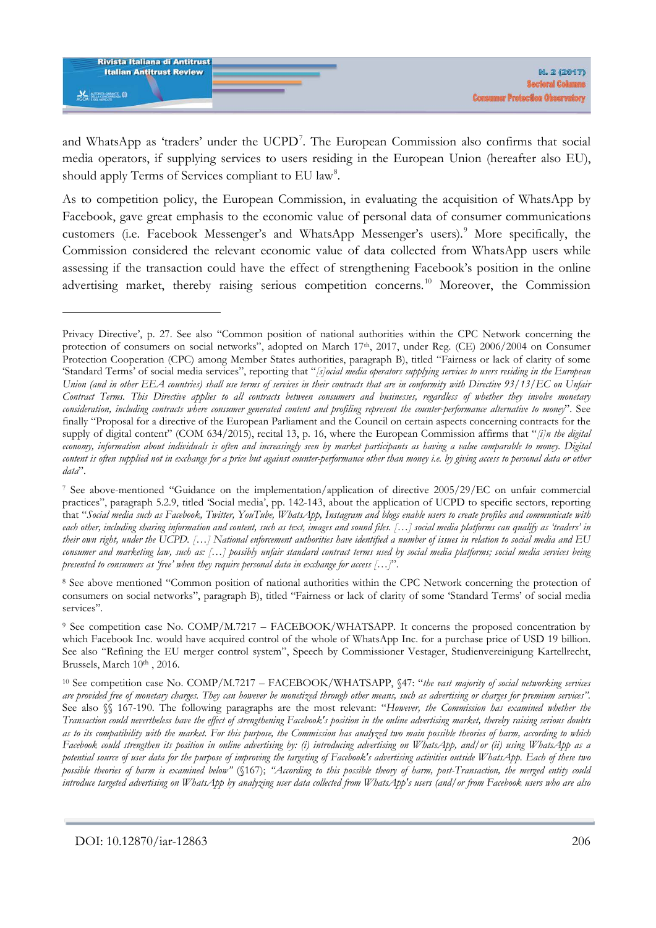

and WhatsApp as 'traders' under the UCPD<sup>[7](#page-2-0)</sup>. The European Commission also confirms that social media operators, if supplying services to users residing in the European Union (hereafter also EU), should apply Terms of Services compliant to EU law<sup>[8](#page-2-1)</sup>.

As to competition policy, the European Commission, in evaluating the acquisition of WhatsApp by Facebook, gave great emphasis to the economic value of personal data of consumer communications customers (i.e. Facebook Messenger's and WhatsApp Messenger's users).<sup>[9](#page-2-2)</sup> More specifically, the Commission considered the relevant economic value of data collected from WhatsApp users while assessing if the transaction could have the effect of strengthening Facebook's position in the online advertising market, thereby raising serious competition concerns.<sup>[10](#page-2-3)</sup> Moreover, the Commission

<span id="page-2-1"></span><sup>8</sup> See above mentioned "Common position of national authorities within the CPC Network concerning the protection of consumers on social networks", paragraph B), titled "Fairness or lack of clarity of some 'Standard Terms' of social media services".

<span id="page-2-2"></span><sup>9</sup> See competition case No. COMP/M.7217 – FACEBOOK/WHATSAPP. It concerns the proposed concentration by which Facebook Inc. would have acquired control of the whole of WhatsApp Inc. for a purchase price of USD 19 billion. See also "Refining the EU merger control system", Speech by Commissioner Vestager, Studienvereinigung Kartellrecht, Brussels, March 10<sup>th</sup>, 2016.

<span id="page-2-3"></span><sup>10</sup> See competition case No. COMP/M.7217 – FACEBOOK/WHATSAPP, §47: "*the vast majority of social networking services are provided free of monetary charges. They can however be monetized through other means, such as advertising or charges for premium services".* See also §§ 167-190. The following paragraphs are the most relevant: "*However, the Commission has examined whether the Transaction could nevertheless have the effect of strengthening Facebook's position in the online advertising market, thereby raising serious doubts as to its compatibility with the market. For this purpose, the Commission has analyzed two main possible theories of harm, according to which Facebook could strengthen its position in online advertising by: (i) introducing advertising on WhatsApp, and/or (ii) using WhatsApp as a potential source of user data for the purpose of improving the targeting of Facebook's advertising activities outside WhatsApp. Each of these two possible theories of harm is examined below"* (§167); *"According to this possible theory of harm, post-Transaction, the merged entity could introduce targeted advertising on WhatsApp by analyzing user data collected from WhatsApp's users (and/or from Facebook users who are also* 

Privacy Directive', p. 27. See also "Common position of national authorities within the CPC Network concerning the protection of consumers on social networks", adopted on March 17th, 2017, under Reg. (CE) 2006/2004 on Consumer Protection Cooperation (CPC) among Member States authorities, paragraph B), titled "Fairness or lack of clarity of some 'Standard Terms' of social media services", reporting that "*[s]ocial media operators supplying services to users residing in the European Union (and in other EEA countries) shall use terms of services in their contracts that are in conformity with Directive 93/13/EC on Unfair Contract Terms. This Directive applies to all contracts between consumers and businesses, regardless of whether they involve monetary consideration, including contracts where consumer generated content and profiling represent the counter-performance alternative to money*". See finally "Proposal for a directive of the European Parliament and the Council on certain aspects concerning contracts for the supply of digital content" (COM 634/2015), recital 13, p. 16, where the European Commission affirms that "*[i]n the digital economy, information about individuals is often and increasingly seen by market participants as having a value comparable to money. Digital content is often supplied not in exchange for a price but against counter-performance other than money i.e. by giving access to personal data or other data*".

<span id="page-2-0"></span><sup>7</sup> See above-mentioned "Guidance on the implementation/application of directive 2005/29/EC on unfair commercial practices", paragraph 5.2.9, titled 'Social media', pp. 142-143, about the application of UCPD to specific sectors, reporting that "*Social media such as Facebook, Twitter, YouTube, WhatsApp, Instagram and blogs enable users to create profiles and communicate with each other, including sharing information and content, such as text, images and sound files. […] social media platforms can qualify as 'traders' in their own right, under the UCPD. […] National enforcement authorities have identified a number of issues in relation to social media and EU consumer and marketing law, such as: […] possibly unfair standard contract terms used by social media platforms; social media services being presented to consumers as 'free' when they require personal data in exchange for access […]*".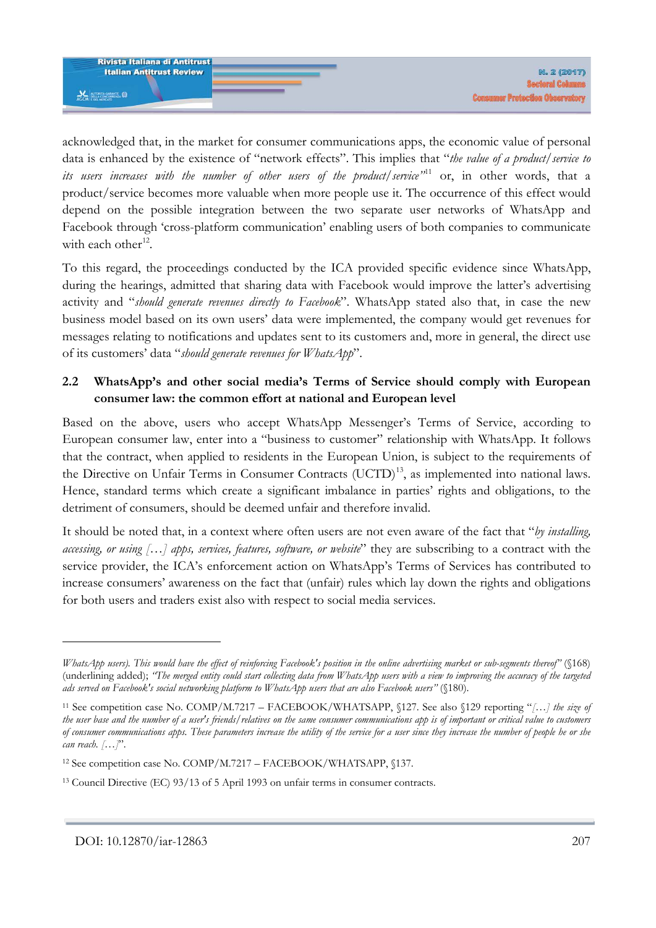

acknowledged that, in the market for consumer communications apps, the economic value of personal data is enhanced by the existence of "network effects". This implies that "*the value of a product/service to its users increases with the number of other users of the product/service"*[11](#page-3-0) or, in other words, that a product/service becomes more valuable when more people use it. The occurrence of this effect would depend on the possible integration between the two separate user networks of WhatsApp and Facebook through 'cross-platform communication' enabling users of both companies to communicate with each other<sup>12</sup>.

To this regard, the proceedings conducted by the ICA provided specific evidence since WhatsApp, during the hearings, admitted that sharing data with Facebook would improve the latter's advertising activity and "*should generate revenues directly to Facebook*". WhatsApp stated also that, in case the new business model based on its own users' data were implemented, the company would get revenues for messages relating to notifications and updates sent to its customers and, more in general, the direct use of its customers' data "*should generate revenues for WhatsApp*".

## **2.2 WhatsApp's and other social media's Terms of Service should comply with European consumer law: the common effort at national and European level**

Based on the above, users who accept WhatsApp Messenger's Terms of Service, according to European consumer law, enter into a "business to customer" relationship with WhatsApp. It follows that the contract, when applied to residents in the European Union, is subject to the requirements of the Directive on Unfair Terms in Consumer Contracts (UCTD)<sup>[13](#page-3-2)</sup>, as implemented into national laws. Hence, standard terms which create a significant imbalance in parties' rights and obligations, to the detriment of consumers, should be deemed unfair and therefore invalid.

It should be noted that, in a context where often users are not even aware of the fact that "*by installing, accessing, or using […] apps, services, features, software, or website*" they are subscribing to a contract with the service provider, the ICA's enforcement action on WhatsApp's Terms of Services has contributed to increase consumers' awareness on the fact that (unfair) rules which lay down the rights and obligations for both users and traders exist also with respect to social media services.

*WhatsApp users). This would have the effect of reinforcing Facebook's position in the online advertising market or sub-segments thereof"* (§168) (underlining added); *"The merged entity could start collecting data from WhatsApp users with a view to improving the accuracy of the targeted ads served on Facebook's social networking platform to WhatsApp users that are also Facebook users"* (§180).

<span id="page-3-0"></span><sup>11</sup> See competition case No. COMP/M.7217 – FACEBOOK/WHATSAPP, §127. See also §129 reporting "*[…] the size of the user base and the number of a user's friends/relatives on the same consumer communications app is of important or critical value to customers of consumer communications apps. These parameters increase the utility of the service for a user since they increase the number of people he or she can reach. […]*".

<span id="page-3-1"></span><sup>12</sup> See competition case No. COMP/M.7217 – FACEBOOK/WHATSAPP, §137.

<span id="page-3-2"></span><sup>13</sup> Council Directive (EC) 93/13 of 5 April 1993 on unfair terms in consumer contracts.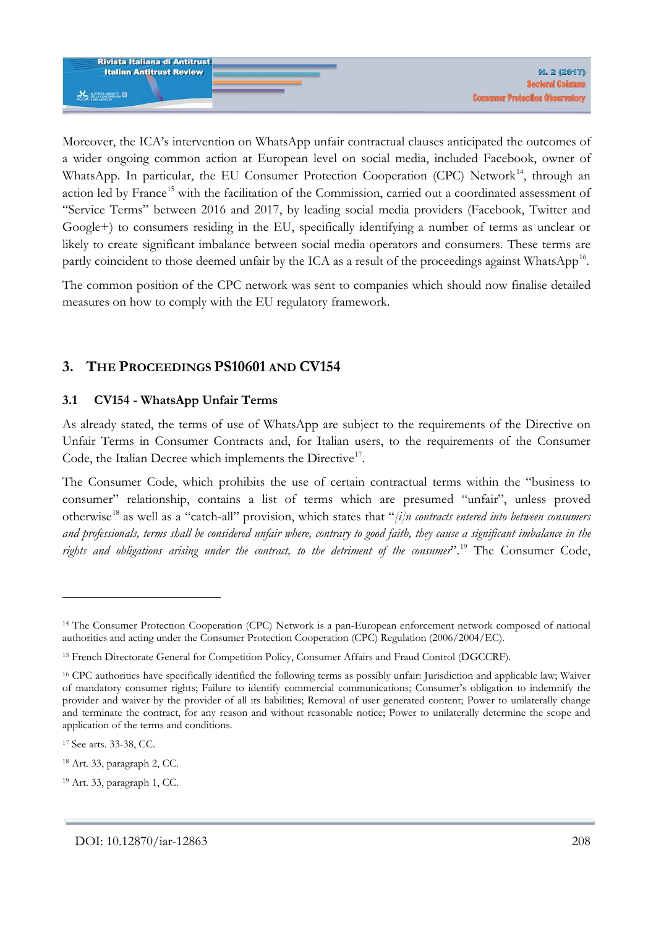

Moreover, the ICA's intervention on WhatsApp unfair contractual clauses anticipated the outcomes of a wider ongoing common action at European level on social media, included Facebook, owner of WhatsApp. In particular, the EU Consumer Protection Cooperation (CPC) Network<sup>[14](#page-4-0)</sup>, through an action led by France<sup>[15](#page-4-1)</sup> with the facilitation of the Commission, carried out a coordinated assessment of "Service Terms" between 2016 and 2017, by leading social media providers (Facebook, Twitter and Google+) to consumers residing in the EU, specifically identifying a number of terms as unclear or likely to create significant imbalance between social media operators and consumers. These terms are partly coincident to those deemed unfair by the ICA as a result of the proceedings against WhatsApp<sup>[16](#page-4-2)</sup>.

The common position of the CPC network was sent to companies which should now finalise detailed measures on how to comply with the EU regulatory framework.

# **3. THE PROCEEDINGS PS10601 AND CV154**

## **3.1 CV154 - WhatsApp Unfair Terms**

As already stated, the terms of use of WhatsApp are subject to the requirements of the Directive on Unfair Terms in Consumer Contracts and, for Italian users, to the requirements of the Consumer Code, the Italian Decree which implements the Directive<sup>17</sup>.

The Consumer Code, which prohibits the use of certain contractual terms within the "business to consumer" relationship, contains a list of terms which are presumed "unfair", unless proved otherwise[18](#page-4-4) as well as a "catch-all" provision, which states that "*[i]n contracts entered into between consumers and professionals, terms shall be considered unfair where, contrary to good faith, they cause a significant imbalance in the rights and obligations arising under the contract, to the detriment of the consumer*".[19](#page-4-5) The Consumer Code,

<u>.</u>

<span id="page-4-0"></span><sup>&</sup>lt;sup>14</sup> The Consumer Protection Cooperation (CPC) Network is a pan-European enforcement network composed of national authorities and acting under the Consumer Protection Cooperation (CPC) Regulation (2006/2004/EC).

<span id="page-4-1"></span><sup>&</sup>lt;sup>15</sup> French Directorate General for Competition Policy, Consumer Affairs and Fraud Control (DGCCRF).

<span id="page-4-2"></span><sup>16</sup> CPC authorities have specifically identified the following terms as possibly unfair: Jurisdiction and applicable law; Waiver of mandatory consumer rights; Failure to identify commercial communications; Consumer's obligation to indemnify the provider and waiver by the provider of all its liabilities; Removal of user generated content; Power to unilaterally change and terminate the contract, for any reason and without reasonable notice; Power to unilaterally determine the scope and application of the terms and conditions.

<span id="page-4-3"></span><sup>17</sup> See arts. 33-38, CC.

<span id="page-4-4"></span><sup>18</sup> Art. 33, paragraph 2, CC.

<span id="page-4-5"></span><sup>19</sup> Art. 33, paragraph 1, CC.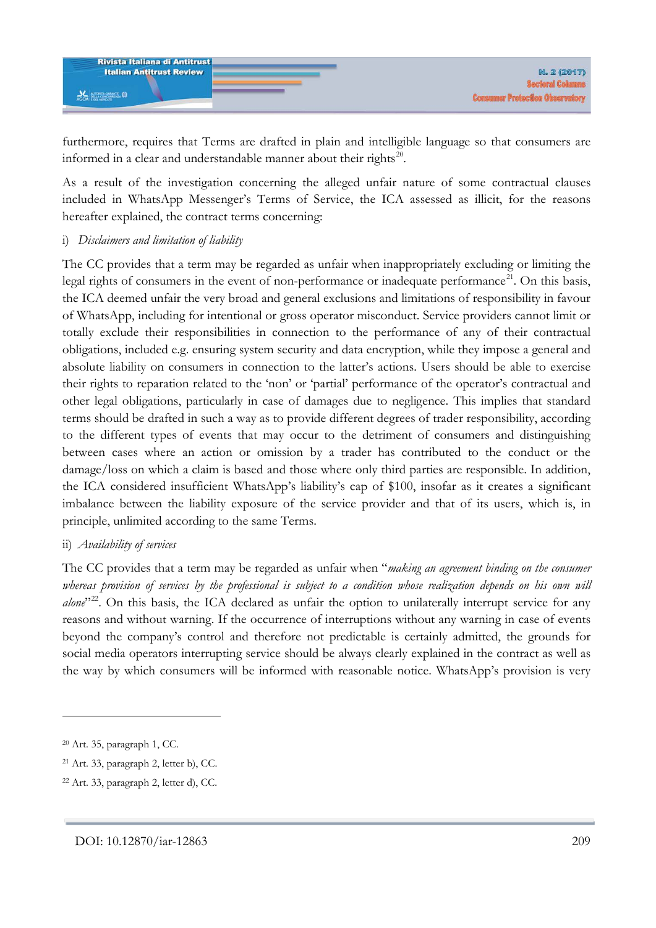

furthermore, requires that Terms are drafted in plain and intelligible language so that consumers are informed in a clear and understandable manner about their rights [20](#page-5-0).

As a result of the investigation concerning the alleged unfair nature of some contractual clauses included in WhatsApp Messenger's Terms of Service, the ICA assessed as illicit, for the reasons hereafter explained, the contract terms concerning:

#### i) *Disclaimers and limitation of liability*

The CC provides that a term may be regarded as unfair when inappropriately excluding or limiting the legal rights of consumers in the event of non-performance or inadequate performance<sup>[21](#page-5-1)</sup>. On this basis, the ICA deemed unfair the very broad and general exclusions and limitations of responsibility in favour of WhatsApp, including for intentional or gross operator misconduct. Service providers cannot limit or totally exclude their responsibilities in connection to the performance of any of their contractual obligations, included e.g. ensuring system security and data encryption, while they impose a general and absolute liability on consumers in connection to the latter's actions. Users should be able to exercise their rights to reparation related to the 'non' or 'partial' performance of the operator's contractual and other legal obligations, particularly in case of damages due to negligence. This implies that standard terms should be drafted in such a way as to provide different degrees of trader responsibility, according to the different types of events that may occur to the detriment of consumers and distinguishing between cases where an action or omission by a trader has contributed to the conduct or the damage/loss on which a claim is based and those where only third parties are responsible. In addition, the ICA considered insufficient WhatsApp's liability's cap of \$100, insofar as it creates a significant imbalance between the liability exposure of the service provider and that of its users, which is, in principle, unlimited according to the same Terms.

## ii) *Availability of services*

The CC provides that a term may be regarded as unfair when "*making an agreement binding on the consumer whereas provision of services by the professional is subject to a condition whose realization depends on his own will alone*"<sup>[22](#page-5-2)</sup>. On this basis, the ICA declared as unfair the option to unilaterally interrupt service for any reasons and without warning. If the occurrence of interruptions without any warning in case of events beyond the company's control and therefore not predictable is certainly admitted, the grounds for social media operators interrupting service should be always clearly explained in the contract as well as the way by which consumers will be informed with reasonable notice. WhatsApp's provision is very

<u>.</u>

<span id="page-5-0"></span><sup>20</sup> Art. 35, paragraph 1, CC.

<span id="page-5-1"></span><sup>21</sup> Art. 33, paragraph 2, letter b), CC.

<span id="page-5-2"></span><sup>22</sup> Art. 33, paragraph 2, letter d), CC.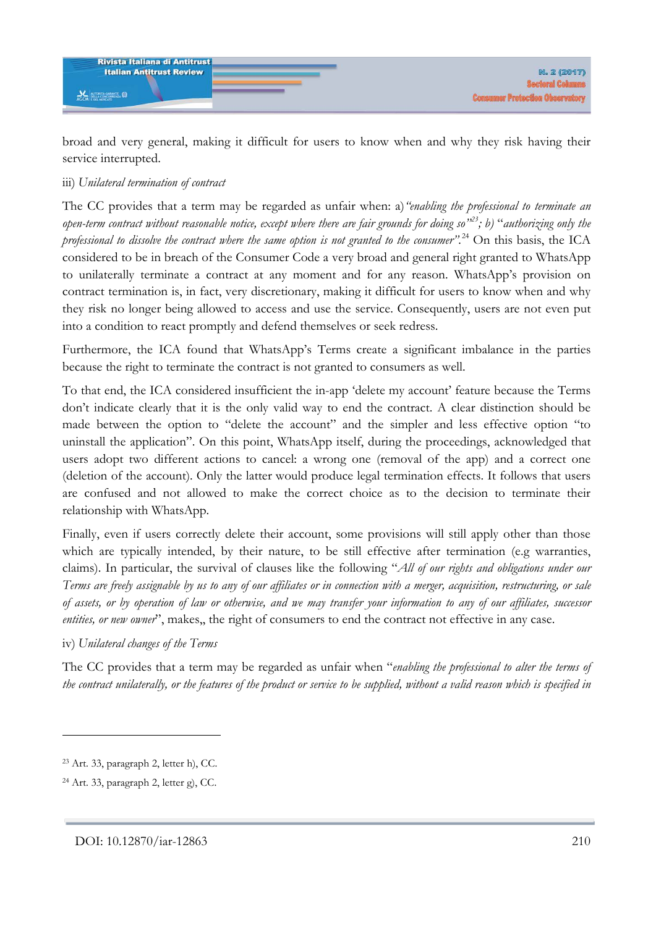

broad and very general, making it difficult for users to know when and why they risk having their service interrupted.

### iii) *Unilateral termination of contract*

The CC provides that a term may be regarded as unfair when: a)*"enabling the professional to terminate an open-term contract without reasonable notice, except where there are fair grounds for doing so"[23](#page-6-0); b)* "*authorizing only the professional to dissolve the contract where the same option is not granted to the consumer".*[24](#page-6-1) On this basis, the ICA considered to be in breach of the Consumer Code a very broad and general right granted to WhatsApp to unilaterally terminate a contract at any moment and for any reason. WhatsApp's provision on contract termination is, in fact, very discretionary, making it difficult for users to know when and why they risk no longer being allowed to access and use the service. Consequently, users are not even put into a condition to react promptly and defend themselves or seek redress.

Furthermore, the ICA found that WhatsApp's Terms create a significant imbalance in the parties because the right to terminate the contract is not granted to consumers as well.

To that end, the ICA considered insufficient the in-app 'delete my account' feature because the Terms don't indicate clearly that it is the only valid way to end the contract. A clear distinction should be made between the option to "delete the account" and the simpler and less effective option "to uninstall the application". On this point, WhatsApp itself, during the proceedings, acknowledged that users adopt two different actions to cancel: a wrong one (removal of the app) and a correct one (deletion of the account). Only the latter would produce legal termination effects. It follows that users are confused and not allowed to make the correct choice as to the decision to terminate their relationship with WhatsApp.

Finally, even if users correctly delete their account, some provisions will still apply other than those which are typically intended, by their nature, to be still effective after termination (e.g warranties, claims). In particular, the survival of clauses like the following "*All of our rights and obligations under our Terms are freely assignable by us to any of our affiliates or in connection with a merger, acquisition, restructuring, or sale of assets, or by operation of law or otherwise, and we may transfer your information to any of our affiliates, successor entities, or new owner*", makes,, the right of consumers to end the contract not effective in any case.

iv) *Unilateral changes of the Terms*

The CC provides that a term may be regarded as unfair when "*enabling the professional to alter the terms of the contract unilaterally, or the features of the product or service to be supplied, without a valid reason which is specified in* 

<span id="page-6-0"></span><sup>23</sup> Art. 33, paragraph 2, letter h), CC.

<span id="page-6-1"></span><sup>24</sup> Art. 33, paragraph 2, letter g), CC.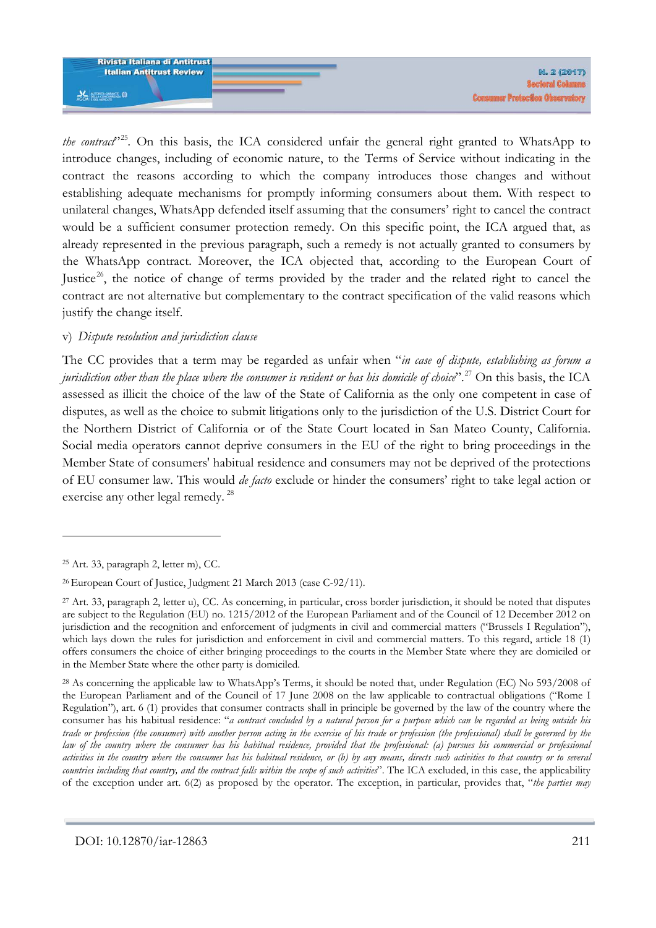

*the contract*"<sup>[25](#page-7-0)</sup>. On this basis, the ICA considered unfair the general right granted to WhatsApp to introduce changes, including of economic nature, to the Terms of Service without indicating in the contract the reasons according to which the company introduces those changes and without establishing adequate mechanisms for promptly informing consumers about them. With respect to unilateral changes, WhatsApp defended itself assuming that the consumers' right to cancel the contract would be a sufficient consumer protection remedy. On this specific point, the ICA argued that, as already represented in the previous paragraph, such a remedy is not actually granted to consumers by the WhatsApp contract. Moreover, the ICA objected that, according to the European Court of Justice<sup>[26](#page-7-1)</sup>, the notice of change of terms provided by the trader and the related right to cancel the contract are not alternative but complementary to the contract specification of the valid reasons which justify the change itself.

#### v) *Dispute resolution and jurisdiction clause*

The CC provides that a term may be regarded as unfair when "*in case of dispute, establishing as forum a jurisdiction other than the place where the consumer is resident or has his domicile of choice*".[27](#page-7-2) On this basis, the ICA assessed as illicit the choice of the law of the State of California as the only one competent in case of disputes, as well as the choice to submit litigations only to the jurisdiction of the U.S. District Court for the Northern District of California or of the State Court located in San Mateo County, California. Social media operators cannot deprive consumers in the EU of the right to bring proceedings in the Member State of consumers' habitual residence and consumers may not be deprived of the protections of EU consumer law. This would *de facto* exclude or hinder the consumers' right to take legal action or exercise any other legal remedy.<sup>[28](#page-7-3)</sup>

<span id="page-7-0"></span><sup>25</sup> Art. 33, paragraph 2, letter m), CC.

<span id="page-7-1"></span><sup>26</sup> European Court of Justice, Judgment 21 March 2013 (case C-92/11).

<span id="page-7-2"></span> $27$  Art. 33, paragraph 2, letter u), CC. As concerning, in particular, cross border jurisdiction, it should be noted that disputes are subject to the Regulation (EU) no. 1215/2012 of the European Parliament and of the Council of 12 December 2012 on jurisdiction and the recognition and enforcement of judgments in civil and commercial matters ("Brussels I Regulation"), which lays down the rules for jurisdiction and enforcement in civil and commercial matters. To this regard, article 18 (1) offers consumers the choice of either bringing proceedings to the courts in the Member State where they are domiciled or in the Member State where the other party is domiciled.

<span id="page-7-3"></span><sup>&</sup>lt;sup>28</sup> As concerning the applicable law to WhatsApp's Terms, it should be noted that, under Regulation (EC) No 593/2008 of the European Parliament and of the Council of 17 June 2008 on the law applicable to contractual obligations ("Rome I Regulation"), art. 6 (1) provides that consumer contracts shall in principle be governed by the law of the country where the consumer has his habitual residence: "*a contract concluded by a natural person for a purpose which can be regarded as being outside his trade or profession (the consumer) with another person acting in the exercise of his trade or profession (the professional) shall be governed by the law of the country where the consumer has his habitual residence, provided that the professional: (a) pursues his commercial or professional activities in the country where the consumer has his habitual residence, or (b) by any means, directs such activities to that country or to several countries including that country, and the contract falls within the scope of such activities*". The ICA excluded, in this case, the applicability of the exception under art. 6(2) as proposed by the operator. The exception, in particular, provides that, "*the parties may*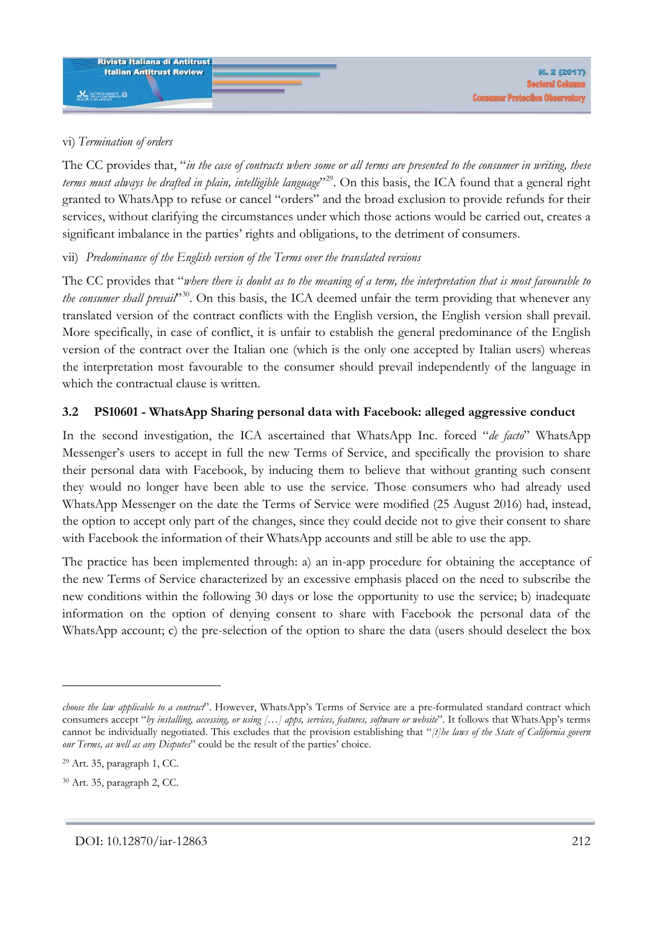

## vi) *Termination of orders*

The CC provides that, "*in the case of contracts where some or all terms are presented to the consumer in writing, these terms must always be drafted in plain, intelligible language*"[29.](#page-8-0) On this basis, the ICA found that a general right granted to WhatsApp to refuse or cancel "orders" and the broad exclusion to provide refunds for their services, without clarifying the circumstances under which those actions would be carried out, creates a significant imbalance in the parties' rights and obligations, to the detriment of consumers.

## vii) *Predominance of the English version of the Terms over the translated versions*

The CC provides that "*where there is doubt as to the meaning of a term, the interpretation that is most favourable to the consumer shall prevail*"<sup>30</sup>. On this basis, the ICA deemed unfair the term providing that whenever any translated version of the contract conflicts with the English version, the English version shall prevail. More specifically, in case of conflict, it is unfair to establish the general predominance of the English version of the contract over the Italian one (which is the only one accepted by Italian users) whereas the interpretation most favourable to the consumer should prevail independently of the language in which the contractual clause is written.

## **3.2 PS10601 - WhatsApp Sharing personal data with Facebook: alleged aggressive conduct**

In the second investigation, the ICA ascertained that WhatsApp Inc. forced "*de facto*" WhatsApp Messenger's users to accept in full the new Terms of Service, and specifically the provision to share their personal data with Facebook, by inducing them to believe that without granting such consent they would no longer have been able to use the service. Those consumers who had already used WhatsApp Messenger on the date the Terms of Service were modified (25 August 2016) had, instead, the option to accept only part of the changes, since they could decide not to give their consent to share with Facebook the information of their WhatsApp accounts and still be able to use the app.

The practice has been implemented through: a) an in-app procedure for obtaining the acceptance of the new Terms of Service characterized by an excessive emphasis placed on the need to subscribe the new conditions within the following 30 days or lose the opportunity to use the service; b) inadequate information on the option of denying consent to share with Facebook the personal data of the WhatsApp account; c) the pre-selection of the option to share the data (users should deselect the box

*choose the law applicable to a contract*". However, WhatsApp's Terms of Service are a pre-formulated standard contract which consumers accept "*by installing, accessing, or using […] apps, services, features, software or website*". It follows that WhatsApp's terms cannot be individually negotiated. This excludes that the provision establishing that "*[t]he laws of the State of California govern our Terms, as well as any Disputes*" could be the result of the parties' choice.

<span id="page-8-0"></span><sup>29</sup> Art. 35, paragraph 1, CC.

<span id="page-8-1"></span><sup>30</sup> Art. 35, paragraph 2, CC.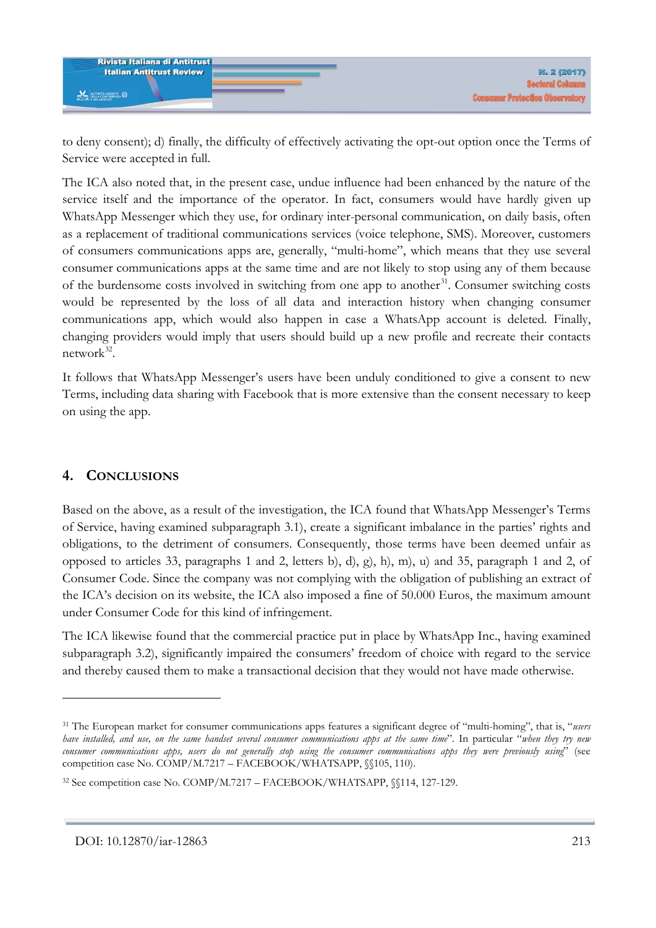

to deny consent); d) finally, the difficulty of effectively activating the opt-out option once the Terms of Service were accepted in full.

The ICA also noted that, in the present case, undue influence had been enhanced by the nature of the service itself and the importance of the operator. In fact, consumers would have hardly given up WhatsApp Messenger which they use, for ordinary inter-personal communication, on daily basis, often as a replacement of traditional communications services (voice telephone, SMS). Moreover, customers of consumers communications apps are, generally, "multi-home", which means that they use several consumer communications apps at the same time and are not likely to stop using any of them because of the burdensome costs involved in switching from one app to another<sup>31</sup>. Consumer switching costs would be represented by the loss of all data and interaction history when changing consumer communications app, which would also happen in case a WhatsApp account is deleted. Finally, changing providers would imply that users should build up a new profile and recreate their contacts network $32$ .

It follows that WhatsApp Messenger's users have been unduly conditioned to give a consent to new Terms, including data sharing with Facebook that is more extensive than the consent necessary to keep on using the app.

# **4. CONCLUSIONS**

-

Based on the above, as a result of the investigation, the ICA found that WhatsApp Messenger's Terms of Service, having examined subparagraph 3.1), create a significant imbalance in the parties' rights and obligations, to the detriment of consumers. Consequently, those terms have been deemed unfair as opposed to articles 33, paragraphs 1 and 2, letters b), d), g), h), m), u) and 35, paragraph 1 and 2, of Consumer Code. Since the company was not complying with the obligation of publishing an extract of the ICA's decision on its website, the ICA also imposed a fine of 50.000 Euros, the maximum amount under Consumer Code for this kind of infringement.

The ICA likewise found that the commercial practice put in place by WhatsApp Inc., having examined subparagraph 3.2), significantly impaired the consumers' freedom of choice with regard to the service and thereby caused them to make a transactional decision that they would not have made otherwise.

<span id="page-9-0"></span><sup>31</sup> The European market for consumer communications apps features a significant degree of "multi-homing", that is, "*users have installed, and use, on the same handset several consumer communications apps at the same time*". In particular "*when they try new consumer communications apps, users do not generally stop using the consumer communications apps they were previously using*" (see competition case No. COMP/M.7217 – FACEBOOK/WHATSAPP, §§105, 110).

<span id="page-9-1"></span><sup>32</sup> See competition case No. COMP/M.7217 – FACEBOOK/WHATSAPP, §§114, 127-129.